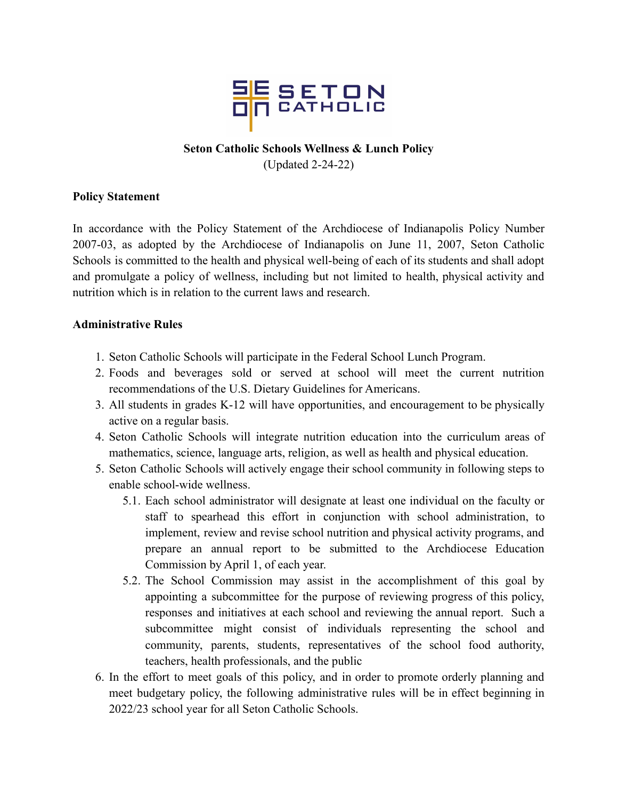

## **Seton Catholic Schools Wellness & Lunch Policy**

(Updated 2-24-22)

## **Policy Statement**

In accordance with the Policy Statement of the Archdiocese of Indianapolis Policy Number 2007-03, as adopted by the Archdiocese of Indianapolis on June 11, 2007, Seton Catholic Schools is committed to the health and physical well-being of each of its students and shall adopt and promulgate a policy of wellness, including but not limited to health, physical activity and nutrition which is in relation to the current laws and research.

## **Administrative Rules**

- 1. Seton Catholic Schools will participate in the Federal School Lunch Program.
- 2. Foods and beverages sold or served at school will meet the current nutrition recommendations of the U.S. Dietary Guidelines for Americans.
- 3. All students in grades K-12 will have opportunities, and encouragement to be physically active on a regular basis.
- 4. Seton Catholic Schools will integrate nutrition education into the curriculum areas of mathematics, science, language arts, religion, as well as health and physical education.
- 5. Seton Catholic Schools will actively engage their school community in following steps to enable school-wide wellness.
	- 5.1. Each school administrator will designate at least one individual on the faculty or staff to spearhead this effort in conjunction with school administration, to implement, review and revise school nutrition and physical activity programs, and prepare an annual report to be submitted to the Archdiocese Education Commission by April 1, of each year.
	- 5.2. The School Commission may assist in the accomplishment of this goal by appointing a subcommittee for the purpose of reviewing progress of this policy, responses and initiatives at each school and reviewing the annual report. Such a subcommittee might consist of individuals representing the school and community, parents, students, representatives of the school food authority, teachers, health professionals, and the public
- 6. In the effort to meet goals of this policy, and in order to promote orderly planning and meet budgetary policy, the following administrative rules will be in effect beginning in 2022/23 school year for all Seton Catholic Schools.